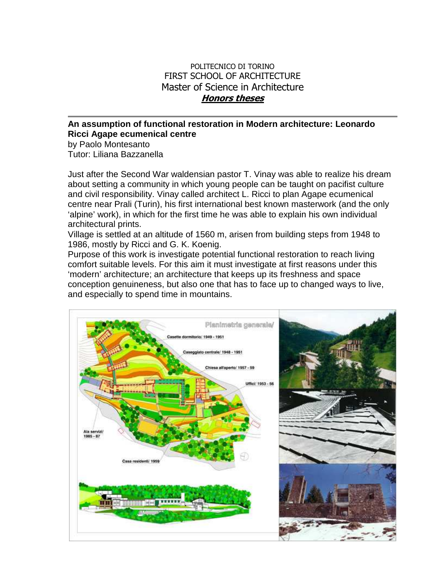## POLITECNICO DI TORINO FIRST SCHOOL OF ARCHITECTURE Master of Science in Architecture **Honors theses**

## **An assumption of functional restoration in Modern architecture: Leonardo Ricci Agape ecumenical centre**

by Paolo Montesanto Tutor: Liliana Bazzanella

Just after the Second War waldensian pastor T. Vinay was able to realize his dream about setting a community in which young people can be taught on pacifist culture and civil responsibility. Vinay called architect L. Ricci to plan Agape ecumenical centre near Prali (Turin), his first international best known masterwork (and the only 'alpine' work), in which for the first time he was able to explain his own individual architectural prints.

Village is settled at an altitude of 1560 m, arisen from building steps from 1948 to 1986, mostly by Ricci and G. K. Koenig.

Purpose of this work is investigate potential functional restoration to reach living comfort suitable levels. For this aim it must investigate at first reasons under this 'modern' architecture; an architecture that keeps up its freshness and space conception genuineness, but also one that has to face up to changed ways to live, and especially to spend time in mountains.

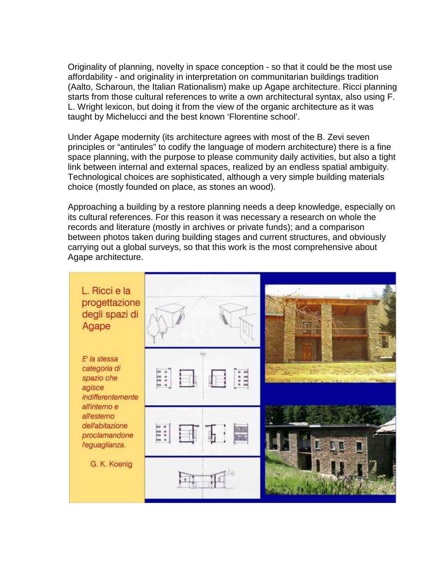Originality of planning, novelty in space conception - so that it could be the most use affordability - and originality in interpretation on communitarian buildings tradition (Aalto, Scharoun, the Italian Rationalism) make up Agape architecture. Ricci planning starts from those cultural references to write a own architectural syntax, also using F. L. Wright lexicon, but doing it from the view of the organic architecture as it was taught by Michelucci and the best known 'Florentine school'.

Under Agape modernity (its architecture agrees with most of the B. Zevi seven principles or "antirules" to codify the language of modern architecture) there is a fine space planning, with the purpose to please community daily activities, but also a tight link between internal and external spaces, realized by an endless spatial ambiguity. Technological choices are sophisticated, although a very simple building materials choice (mostly founded on place, as stones an wood).

Approaching a building by a restore planning needs a deep knowledge, especially on its cultural references. For this reason it was necessary a research on whole the records and literature (mostly in archives or private funds); and a comparison between photos taken during building stages and current structures, and obviously carrying out a global surveys, so that this work is the most comprehensive about Agape architecture.